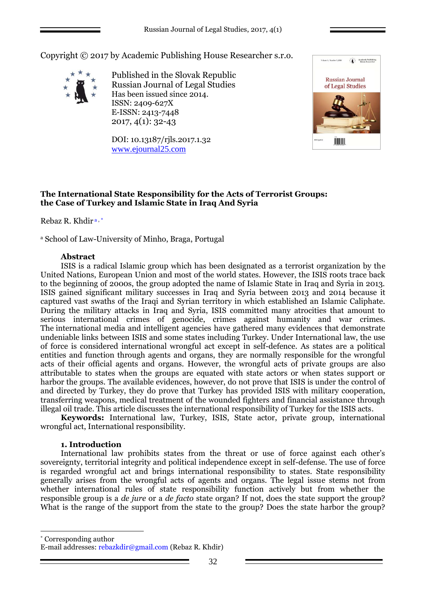Copyright © 2017 by Academic Publishing House Researcher s.r.o.



Published in the Slovak Republic Russian Journal of Legal Studies Has been issued since 2014. ISSN: 2409-627X E-ISSN: 2413-7448 2017, 4(1): 32-43

DOI: 10.13187/rjls.2017.1.32 [www.ejournal25.com](http://www.ejournal25.com/)



# **The International State Responsibility for the Acts of Terrorist Groups: the Case of Turkey and Islamic State in Iraq And Syria**

Rebaz R. Khdir a , \*

<sup>a</sup> School of Law-University of Minho, Braga, Portugal

### **Abstract**

ISIS is a radical Islamic group which has been designated as a terrorist organization by the United Nations, European Union and most of the world states. However, the ISIS roots trace back to the beginning of 2000s, the group adopted the name of Islamic State in Iraq and Syria in 2013. ISIS gained significant military successes in Iraq and Syria between 2013 and 2014 because it captured vast swaths of the Iraqi and Syrian territory in which established an Islamic Caliphate. During the military attacks in Iraq and Syria, ISIS committed many atrocities that amount to serious international crimes of genocide, crimes against humanity and war crimes. The international media and intelligent agencies have gathered many evidences that demonstrate undeniable links between ISIS and some states including Turkey. Under International law, the use of force is considered international wrongful act except in self-defence. As states are a political entities and function through agents and organs, they are normally responsible for the wrongful acts of their official agents and organs. However, the wrongful acts of private groups are also attributable to states when the groups are equated with state actors or when states support or harbor the groups. The available evidences, however, do not prove that ISIS is under the control of and directed by Turkey, they do prove that Turkey has provided ISIS with military cooperation, transferring weapons, medical treatment of the wounded fighters and financial assistance through illegal oil trade. This article discusses the international responsibility of Turkey for the ISIS acts.

**Keywords:** International law, Turkey, ISIS, State actor, private group, international wrongful act, International responsibility.

### **1. Introduction**

1

International law prohibits states from the threat or use of force against each other's sovereignty, territorial integrity and political independence except in self-defense. The use of force is regarded wrongful act and brings international responsibility to states. State responsibility generally arises from the wrongful acts of agents and organs. The legal issue stems not from whether international rules of state responsibility function actively but from whether the responsible group is a *de jure* or a *de facto* state organ? If not, does the state support the group? What is the range of the support from the state to the group? Does the state harbor the group?

\* Corresponding author E-mail addresses: rebazkdir@gmail.com (Rebaz R. Khdir)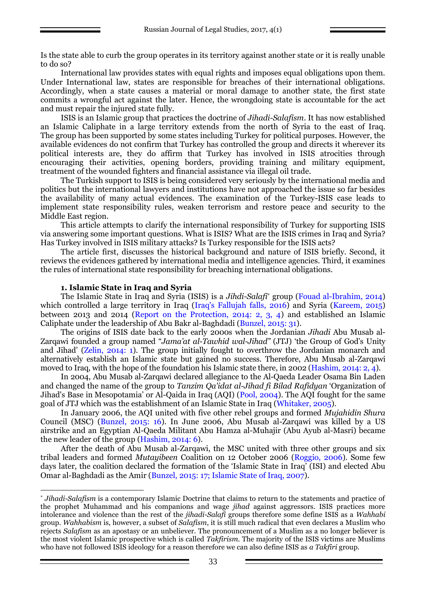Is the state able to curb the group operates in its territory against another state or it is really unable to do so?

International law provides states with equal rights and imposes equal obligations upon them. Under International law, states are responsible for breaches of their international obligations. Accordingly, when a state causes a material or moral damage to another state, the first state commits a wrongful act against the later. Hence, the wrongdoing state is accountable for the act and must repair the injured state fully.

ISIS is an Islamic group that practices the doctrine of *Jihadi-Salafism*. It has now established an Islamic Caliphate in a large territory extends from the north of Syria to the east of Iraq. The group has been supported by some states including Turkey for political purposes. However, the available evidences do not confirm that Turkey has controlled the group and directs it wherever its political interests are, they do affirm that Turkey has involved in ISIS atrocities through encouraging their activities, opening borders, providing training and military equipment, treatment of the wounded fighters and financial assistance via illegal oil trade.

The Turkish support to ISIS is being considered very seriously by the international media and politics but the international lawyers and institutions have not approached the issue so far besides the availability of many actual evidences. The examination of the Turkey-ISIS case leads to implement state responsibility rules, weaken terrorism and restore peace and security to the Middle East region.

This article attempts to clarify the international responsibility of Turkey for supporting ISIS via answering some important questions. What is ISIS? What are the ISIS crimes in Iraq and Syria? Has Turkey involved in ISIS military attacks? Is Turkey responsible for the ISIS acts?

The article first, discusses the historical background and nature of ISIS briefly. Second, it reviews the evidences gathered by international media and intelligence agencies. Third, it examines the rules of international state responsibility for breaching international obligations.

### **1. Islamic State in Iraq and Syria**

<u>.</u>

The Islamic State in Iraq and Syria (ISIS) is a *Jihdi-Salafi*\* group [\(Fouad al-Ibrahim,](https://web.archive.org/web/20140824121659/http:/english.al-akhbar.com/author/fouad-al-ibrahim) 2014) which controlled a large territory in Iraq (Iraq's Fallujah falls, 2016) and Syria (Kareem, 2015) between 2013 and 2014 (Report on the Protection, 2014: 2, 3, 4) and established an Islamic Caliphate under the leadership of Abu Bakr al-Baghdadi (Bunzel, 2015: 31).

The origins of ISIS date back to the early 2000s when the Jordanian *Jihadi* Abu Musab al-Zarqawi founded a group named "*Jama'at al-Tawhid wal-Jihad"* (JTJ) 'the Group of God's Unity and Jihad' (Zelin, 2014: 1). The group initially fought to overthrow the Jordanian monarch and alternatively establish an Islamic state but gained no success. Therefore, Abu Musab al-Zarqawi moved to Iraq, with the hope of the foundation his Islamic state there, in 2002 (Hashim, 2014: 2, 4).

In 2004, Abu Musab al-Zarqawi declared allegiance to the Al-Qaeda Leader Osama Bin Laden and changed the name of the group to *Tanzim Qa'idat al-Jihad fi Bilad Rafidyan* 'Organization of Jihad's Base in [Mesopotamia](https://en.wikipedia.org/wiki/Mesopotamia)' or Al-Qaida in Iraq (AQI) (Pool, 2004). The AQI fought for the same goal of JTJ which was the establishment of an Islamic State in Iraq (Whitaker, 2005).

In January 2006, the AQI united with five other rebel groups and formed *Mujahidin Shura* Council (MSC) (Bunzel, 2015: 16). In June 2006, Abu Musab al-Zarqawi was killed by a US airstrike and an Egyptian Al-Qaeda Militant Abu Hamza al-Muhajir (Abu Ayub al-Masri) became the new leader of the group (Hashim, 2014: 6).

After the death of Abu Musab al-Zarqawi, the MSC united with three other groups and six tribal leaders and formed *Mutayibeen* Coalition on 12 October 2006 (Roggio, 2006). Some few days later, the coalition declared the formation of the 'Islamic State in Iraq' (ISI) and elected [Abu](https://en.wikipedia.org/wiki/Abu_Omar_al-Baghdadi)  [Omar al-Baghdadi](https://en.wikipedia.org/wiki/Abu_Omar_al-Baghdadi) as the Amir (Bunzel, 2015: 17; Islamic State of Iraq, 2007).

<sup>\*</sup> *Jihadi-Salafism* is a contemporary Islamic Doctrine that claims to return to the statements and practice of the prophet Muhammad and his companions and wage *jihad* against aggressors. ISIS practices more intolerance and violence than the rest of the *jihadi-Salafi* groups therefore some define ISIS as a *Wahhabi* group. *Wahhabism* is, however, a subset of *Salafism*, it is still much radical that even declares a Muslim who rejects *Salafism* as an apostasy or an unbeliever. The pronouncement of a Muslim as a no longer believer is the most violent Islamic prospective which is called *Takfirism*. The majority of the ISIS victims are Muslims who have not followed ISIS ideology for a reason therefore we can also define ISIS as *a Takfiri* group.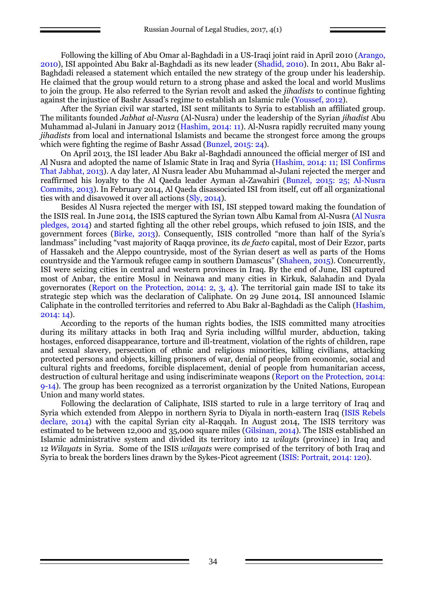Following the killing of [Abu Omar al-Baghdadi](https://en.wikipedia.org/wiki/Abu_Omar_al-Baghdadi) in a US-Iraqi joint raid in April 2010 (Arango, 2010), ISI appointed Abu Bakr al-Baghdadi as its new leader (Shadid, 2010). In 2011, Abu Bakr al-Baghdadi released a statement which entailed the new strategy of the group under his leadership. He claimed that the group would return to a strong phase and asked the local and world Muslims to join the group. He also referred to the Syrian revolt and asked the *jihadists* to continue fighting against the injustice of Bashr Assad's regime to establish an Islamic rule (Youssef, 2012).

After the Syrian civil war started, ISI sent militants to Syria to establish an affiliated group. The militants founded *[Jabhat al-Nusra](https://en.wikipedia.org/wiki/Al-Nusra_Front)* (Al-Nusra) under the leadership of the Syrian *jihadist* [Abu](https://en.wikipedia.org/wiki/Abu_Muhammad_al-Julani)  [Muhammad al-Julani](https://en.wikipedia.org/wiki/Abu_Muhammad_al-Julani) in January 2012 (Hashim, 2014: 11). Al-Nusra rapidly recruited many young *jihadists* from local and international Islamists and became the strongest force among the groups which were fighting the regime of Bashr Assad (Bunzel, 2015: 24).

On April 2013, the ISI leader Abu Bakr al-Baghdadi announced the official merger of ISI and Al Nusra and adopted the name of Islamic State in Iraq and Syria (Hashim, 2014: 11; ISI Confirms That Jabhat, 2013). A day later, Al Nusra leader [Abu Muhammad al-Julani](https://en.wikipedia.org/wiki/Abu_Muhammad_al-Julani) rejected the merger and reaffirmed his loyalty to the Al Qaeda leader Ayman al-Zawahiri (Bunzel, 2015: 25; Al-Nusra Commits, 2013). In February 2014, Al Qaeda disassociated ISI from itself, cut off all organizational ties with and disavowed it over all actions (Sly, 2014).

Besides Al Nusra rejected the merger with ISI, ISI stepped toward making the foundation of the ISIS real. In June 2014, the ISIS captured the Syrian town Albu Kamal from Al-Nusra (Al Nusra pledges, 2014) and started fighting all the other rebel groups, which refused to join ISIS, and the government forces (Birke, 2013). Consequently, ISIS controlled "more than half of the Syria's landmass" including "vast majority of Raqqa province, its *de facto* capital, most of Deir Ezzor, parts of Hassakeh and the Aleppo countryside, most of the Syrian desert as well as parts of the Homs countryside and the Yarmouk refugee camp in southern Damascus" (Shaheen, 2015). Concurrently, ISI were seizing cities in central and western provinces in Iraq. By the end of June, ISI captured most of Anbar, the entire Mosul in Neinawa and many cities in Kirkuk, Salahadin and Dyala governorates (Report on the Protection, 2014: 2, 3, 4). The territorial gain made ISI to take its strategic step which was the declaration of Caliphate. On 29 June 2014, ISI announced Islamic Caliphate in the controlled territories and referred to Abu Bakr al-Baghdadi as the Caliph (Hashim, 2014: 14).

According to the reports of the human rights bodies, the ISIS committed many atrocities during its military attacks in both Iraq and Syria including willful murder, abduction, taking hostages, enforced disappearance, torture and ill-treatment, violation of the rights of children, rape and sexual slavery, persecution of ethnic and religious minorities, killing civilians, attacking protected persons and objects, killing prisoners of war, denial of people from economic, social and cultural rights and freedoms, forcible displacement, denial of people from humanitarian access, destruction of cultural heritage and using indiscriminate weapons (Report on the Protection, 2014: 9-14). The group has been recognized as a [terrorist organization](https://en.wikipedia.org/wiki/List_of_designated_terrorist_organizations) by the United Nations, [European](https://en.wikipedia.org/wiki/European_Union)  [Union](https://en.wikipedia.org/wiki/European_Union) and many world states.

Following the declaration of Caliphate, ISIS started to rule in a large territory of Iraq and Syria which extended from Aleppo in northern Syria to Diyala in north-eastern Iraq (ISIS Rebels declare, 2014) with the capital Syrian city al-Raqqah. In August 2014, The ISIS territory was estimated to be between 12,000 and 35,000 square miles (Gilsinan, 2014). The ISIS established an Islamic administrative system and divided its territory into 12 *wilayts* (province) in Iraq and 12 *Wilayats* in Syria. Some of the ISIS *wilayats* were comprised of the territory of both Iraq and Syria to break the borders lines drawn by the Sykes-Picot agreement (ISIS: Portrait, 2014: 120).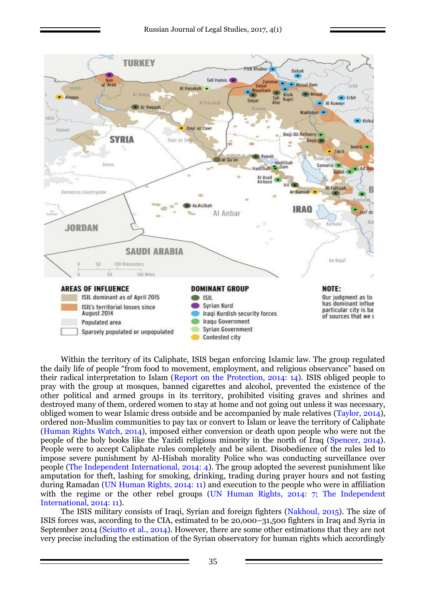

Within the territory of its Caliphate, ISIS began enforcing Islamic law. The group regulated the daily life of people "from food to movement, employment, and religious observance" based on their radical interpretation to Islam (Report on the Protection, 2014: 14). ISIS obliged people to pray with the group at mosques, banned cigarettes and alcohol, prevented the existence of the other political and armed groups in its territory, prohibited visiting graves and shrines and destroyed many of them, ordered women to stay at home and not going out unless it was necessary, obliged women to wear Islamic dress outside and be accompanied by male relatives (Taylor, 2014), ordered non-Muslim communities to pay tax or convert to Islam or leave the territory of Caliphate (Human Rights Watch, 2014), imposed either conversion or death upon people who were not the people of the holy books like the Yazidi religious minority in the north of Iraq (Spencer, 2014). People were to accept Caliphate rules completely and be silent. Disobedience of the rules led to impose severe punishment by Al-Hisbah morality Police who was conducting surveillance over people (The Independent International, 2014: 4). The group adopted the severest punishment like amputation for theft, lashing for smoking, drinking, trading during prayer hours and not fasting during Ramadan (UN Human Rights, 2014: 11) and execution to the people who were in affiliation with the regime or the other rebel groups (UN Human Rights, 2014: 7; The Independent International, 2014: 11).

The ISIS military consists of Iraqi, Syrian and foreign fighters (Nakhoul, 2015). The size of ISIS forces was, according to the CIA, estimated to be 20,000–31,500 fighters in Iraq and Syria in September 2014 (Sciutto et al., 2014). However, there are some other estimations that they are not very precise including the estimation of the Syrian observatory for human rights which accordingly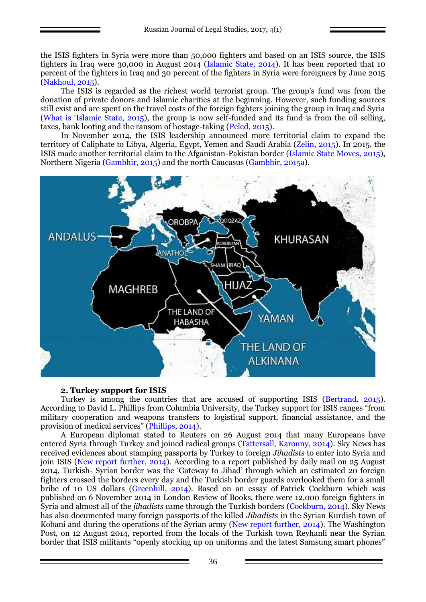the ISIS fighters in Syria were more than 50,000 fighters and based on an ISIS source, the ISIS fighters in Iraq were 30,000 in August 2014 (Islamic State, 2014). It has been reported that 10 percent of the fighters in Iraq and 30 percent of the fighters in Syria were foreigners by June 2015 (Nakhoul, 2015).

The ISIS is regarded as the richest world terrorist group. The group's fund was from the donation of private donors and Islamic charities at the beginning. However, such funding sources still exist and are spent on the travel costs of the foreign fighters joining the group in Iraq and Syria (What is 'Islamic State, 2015), the group is now self-funded and its fund is from the oil selling, taxes, bank looting and the ransom of hostage-taking (Peled, 2015).

In November 2014, the ISIS leadership announced more territorial claim to expand the territory of Caliphate to Libya, Algeria, Egypt, Yemen and Saudi Arabia (Zelin, 2015). In 2015, the ISIS made another territorial claim to the Afganistan-Pakistan border (Islamic State Moves, 2015), Northern Nigeria (Gambhir, 2015) and the north Caucasus (Gambhir, 2015а).



### **2. Turkey support for ISIS**

Turkey is among the countries that are accused of supporting ISIS (Bertrand, 2015). According to David L. Phillips from Columbia University, the Turkey support for ISIS ranges "from military cooperation and weapons transfers to logistical support, financial assistance, and the provision of medical services" (Phillips, 2014).

A European diplomat stated to Reuters on 26 August 2014 that many Europeans have entered Syria through Turkey and joined radical groups (Tattersall, Karouny, 2014). Sky News has received evidences about stamping passports by Turkey to foreign *Jihadists* to enter into Syria and join ISIS (New report further, 2014). According to a report published by daily mail on 25 August 2014, Turkish- Syrian border was the 'Gateway to Jihad' through which an estimated 20 foreign fighters crossed the borders every day and the Turkish border guards overlooked them for a small bribe of 10 US dollars (Greenhill, 2014). Based on an essay of [Patrick Cockburn](https://en.wikipedia.org/wiki/Patrick_Cockburn) which was published on 6 November 2014 in London Review of Books, there were 12,000 foreign fighters in Syria and almost all of the *jihadists* came through the Turkish borders [\(Cockburn,](https://en.wikipedia.org/wiki/Patrick_Cockburn) 2014). Sky News has also documented many foreign passports of the killed *Jihadists* in the Syrian Kurdish town of Kobani and during the operations of the Syrian army (New report further, 2014). The Washington Post, on 12 August 2014, reported from the locals of the Turkish town Reyhanli near the Syrian border that ISIS militants "openly stocking up on uniforms and the latest Samsung smart phones"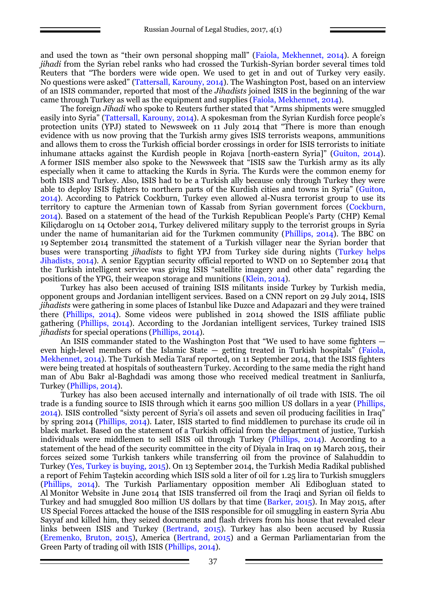and used the town as "their own personal shopping mall" (Faiola, Mekhennet, 2014). A foreign *jihadi* from the Syrian rebel ranks who had crossed the Turkish-Syrian border several times told Reuters that "The borders were wide open. We used to get in and out of Turkey very easily. No questions were asked" (Tattersall, Karouny, 2014). The Washington Post, based on an interview of an ISIS commander, reported that most of the *Jihadists* joined ISIS in the beginning of the war came through Turkey as well as the equipment and supplies (Faiola, Mekhennet, 2014).

The foreign *Jihadi* who spoke to Reuters further stated that "Arms shipments were smuggled easily into Syria" (Tattersall, Karouny, 2014). A spokesman from the Syrian Kurdish force people's protection units (YPJ) stated to Newsweek on 11 July 2014 that "There is more than enough evidence with us now proving that the Turkish army gives ISIS terrorists weapons, ammunitions and allows them to cross the Turkish official border crossings in order for ISIS terrorists to initiate inhumane attacks against the Kurdish people in Rojava [north-eastern Syria]" (Guiton, 2014). A former ISIS member also spoke to the Newsweek that "ISIS saw the Turkish army as its ally especially when it came to attacking the Kurds in Syria. The Kurds were the common enemy for both ISIS and Turkey. Also, ISIS had to be a Turkish ally because only through Turkey they were able to deploy ISIS fighters to northern parts of the Kurdish cities and towns in Syria" (Guiton, 2014). According to [Patrick Cockburn,](https://en.wikipedia.org/wiki/Patrick_Cockburn) Turkey even allowed al-Nusra terrorist group to use its territory to capture the Armenian town of Kassab from Syrian government forces (Cockburn, 2014). Based on a statement of the head of the Turkish Republican People's Party (CHP) Kemal Kiliçdaroglu on 14 October 2014, Turkey delivered military supply to the terrorist groups in Syria under the name of humanitarian aid for the Turkmen community (Phillips, 2014). The BBC on 19 September 2014 transmitted the statement of a Turkish villager near the Syrian border that buses were transporting *jihadists* to fight YPJ from Turkey side during nights (Turkey helps Jihadists, 2014). A senior Egyptian security official reported to WND on 10 September 2014 that the Turkish intelligent service was giving ISIS "satellite imagery and other data" regarding the positions of the YPG, their weapon storage and munitions (Klein, 2014).

Turkey has also been accused of training ISIS militants inside Turkey by Turkish media, opponent groups and Jordanian intelligent services. Based on a CNN report on 29 July 2014, ISIS *jihadists* were gathering in some places of Istanbul like Duzce and Adapazari and they were trained there (Phillips, 2014). Some videos were published in 2014 showed the ISIS affiliate public gathering (Phillips, 2014). According to the Jordanian intelligent services, Turkey trained ISIS *jihadists* for special operations (Phillips, 2014).

An ISIS commander stated to the Washington Post that "We used to have some fighters even high-level members of the Islamic State  $-$  getting treated in Turkish hospitals" (Faiola, Mekhennet, 2014). The Turkish Media Taraf reported, on 11 September 2014, that the ISIS fighters were being treated at hospitals of southeastern Turkey. According to the same media the right hand man of Abu Bakr al-Baghdadi was among those who received medical treatment in Sanliurfa, Turkey (Phillips, 2014).

Turkey has also been accused internally and internationally of oil trade with ISIS. The oil trade is a funding source to ISIS through which it earns 500 million US dollars in a year (Phillips, 2014). ISIS controlled "sixty percent of Syria's oil assets and seven oil producing facilities in Iraq" by spring 2014 (Phillips, 2014). Later, ISIS started to find middlemen to purchase its crude oil in black market. Based on the statement of a Turkish official from the department of justice, Turkish individuals were middlemen to sell ISIS oil through Turkey (Phillips, 2014). According to a statement of the head of the security committee in the city of Diyala in Iraq on 19 March 2015, their forces seized some Turkish tankers while transferring oil from the province of Salahuddin to Turkey (Yes, Turkey is buying, 2015). On 13 September 2014, the Turkish Media Radikal published a report of Fehim Taştekin according which ISIS sold a liter of oil for 1.25 lira to Turkish smugglers (Phillips, 2014). The Turkish Parliamentary opposition member Ali Edibogluan stated to Al Monitor Website in June 2014 that ISIS transferred oil from the Iraqi and Syrian oil fields to Turkey and had smuggled 800 million US dollars by that time (Barker, 2015). In May 2015, after US Special Forces attacked the house of the ISIS responsible for oil smuggling in eastern Syria Abu Sayyaf and killed him, they seized documents and flash drivers from his house that revealed clear links between ISIS and Turkey (Bertrand, 2015). Turkey has also been accused by Russia (Eremenko, Bruton, 2015), America (Bertrand, 2015) and a German Parliamentarian from the Green Party of trading oil with ISIS (Phillips, 2014).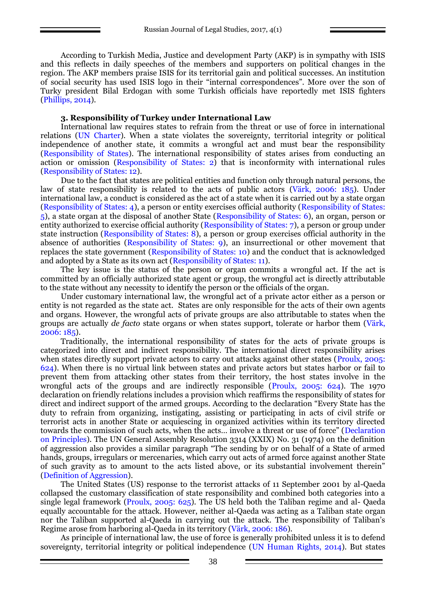According to Turkish Media, Justice and development Party (AKP) is in sympathy with ISIS and this reflects in daily speeches of the members and supporters on political changes in the region. The AKP members praise ISIS for its territorial gain and political successes. An institution of social security has used ISIS logo in their "internal correspondences". More over the son of Turky president Bilal Erdogan with some Turkish officials have reportedly met ISIS fighters (Phillips, 2014).

## **3. Responsibility of Turkey under International Law**

International law requires states to refrain from the threat or use of force in international relations (UN Charter). When a state violates the sovereignty, territorial integrity or political independence of another state, it commits a wrongful act and must bear the responsibility (Responsibility of States). The international responsibility of states arises from conducting an action or omission (Responsibility of States: 2) that is inconformity with international rules (Responsibility of States: 12).

Due to the fact that states are political entities and function only through natural persons, the law of state responsibility is related to the acts of public actors (Värk, 2006: 185). Under international law, a conduct is considered as the act of a state when it is carried out by a state organ (Responsibility of States: 4), a person or entity exercises official authority (Responsibility of States: 5), a state organ at the disposal of another State (Responsibility of States: 6), an organ, person or entity authorized to exercise official authority (Responsibility of States: 7), a person or group under state instruction (Responsibility of States: 8), a person or group exercises official authority in the absence of authorities (Responsibility of States: 9), an insurrectional or other movement that replaces the state government (Responsibility of States: 10) and the conduct that is acknowledged and adopted by a State as its own act (Responsibility of States: 11).

The key issue is the status of the person or organ commits a wrongful act. If the act is committed by an officially authorized state agent or group, the wrongful act is directly attributable to the state without any necessity to identify the person or the officials of the organ.

Under customary international law, the wrongful act of a private actor either as a person or entity is not regarded as the state act. States are only responsible for the acts of their own agents and organs. However, the wrongful acts of private groups are also attributable to states when the groups are actually *de facto* state organs or when states support, tolerate or harbor them (Värk, 2006: 185).

Traditionally, the international responsibility of states for the acts of private groups is categorized into direct and indirect responsibility. The international direct responsibility arises when states directly support private actors to carry out attacks against other states (Proulx, 2005; 624). When there is no virtual link between states and private actors but states harbor or fail to prevent them from attacking other states from their territory, the host states involve in the wrongful acts of the groups and are indirectly responsible (Proulx, 2005: 624). The 1970 declaration on friendly relations includes a provision which reaffirms the responsibility of states for direct and indirect support of the armed groups. According to the declaration "Every State has the duty to refrain from organizing, instigating, assisting or participating in acts of civil strife or terrorist acts in another State or acquiescing in organized activities within its territory directed towards the commission of such acts, when the acts… involve a threat or use of force" (Declaration on Principles). The UN General Assembly Resolution 3314 (XXIX) No. 31 (1974) on the definition of aggression also provides a similar paragraph "The sending by or on behalf of a State of armed hands, groups, irregulars or mercenaries, which carry out acts of armed force against another State of such gravity as to amount to the acts listed above, or its substantial involvement therein" (Definition of Aggression).

The United States (US) response to the terrorist attacks of 11 September 2001 by al-Qaeda collapsed the customary classification of state responsibility and combined both categories into a single legal framework (Proulx, 2005: 625). The US held both the Taliban regime and al- Qaeda equally accountable for the attack. However, neither al-Qaeda was acting as a Taliban state organ nor the Taliban supported al-Qaeda in carrying out the attack. The responsibility of Taliban's Regime arose from harboring al-Qaeda in its territory (Värk, 2006: 186).

As principle of international law, the use of force is generally prohibited unless it is to defend sovereignty, territorial integrity or political independence (UN Human Rights, 2014). But states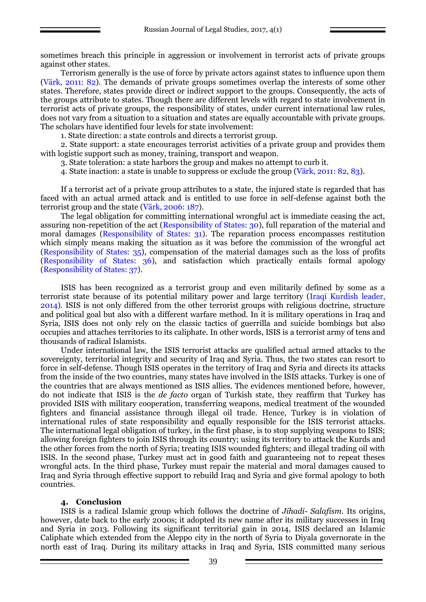sometimes breach this principle in aggression or involvement in terrorist acts of private groups against other states.

Terrorism generally is the use of force by private actors against states to influence upon them (Värk, 2011: 82). The demands of private groups sometimes overlap the interests of some other states. Therefore, states provide direct or indirect support to the groups. Consequently, the acts of the groups attribute to states. Though there are different levels with regard to state involvement in terrorist acts of private groups, the responsibility of states, under current international law rules, does not vary from a situation to a situation and states are equally accountable with private groups. The scholars have identified four levels for state involvement:

1. State direction: a state controls and directs a terrorist group.

2. State support: a state encourages terrorist activities of a private group and provides them with logistic support such as money, training, transport and weapon.

3. State toleration: a state harbors the group and makes no attempt to curb it.

4. State inaction: a state is unable to suppress or exclude the group (Värk, 2011: 82, 83).

If a terrorist act of a private group attributes to a state, the injured state is regarded that has faced with an actual armed attack and is entitled to use force in self-defense against both the terrorist group and the state (Värk, 2006: 187).

The legal obligation for committing international wrongful act is immediate ceasing the act, assuring non-repetition of the act (Responsibility of States: 30), full reparation of the material and moral damages (Responsibility of States: 31). The reparation process encompasses restitution which simply means making the situation as it was before the commission of the wrongful act (Responsibility of States: 35), compensation of the material damages such as the loss of profits (Responsibility of States: 36), and satisfaction which practically entails formal apology (Responsibility of States: 37).

ISIS has been recognized as a terrorist group and even militarily defined by some as a terrorist state because of its potential military power and large territory (Iraqi Kurdish leader, 2014). ISIS is not only differed from the other terrorist groups with religious doctrine, structure and political goal but also with a different warfare method. In it is military operations in Iraq and Syria, ISIS does not only rely on the classic tactics of guerrilla and suicide bombings but also occupies and attaches territories to its caliphate. In other words, ISIS is a terrorist army of tens and thousands of radical Islamists.

Under international law, the ISIS terrorist attacks are qualified actual armed attacks to the sovereignty, territorial integrity and security of Iraq and Syria. Thus, the two states can resort to force in self-defense. Though ISIS operates in the territory of Iraq and Syria and directs its attacks from the inside of the two countries, many states have involved in the ISIS attacks. Turkey is one of the countries that are always mentioned as ISIS allies. The evidences mentioned before, however, do not indicate that ISIS is the *de facto* organ of Turkish state, they reaffirm that Turkey has provided ISIS with military cooperation, transferring weapons, medical treatment of the wounded fighters and financial assistance through illegal oil trade. Hence, Turkey is in violation of international rules of state responsibility and equally responsible for the ISIS terrorist attacks. The international legal obligation of turkey, in the first phase, is to stop supplying weapons to ISIS; allowing foreign fighters to join ISIS through its country; using its territory to attack the Kurds and the other forces from the north of Syria; treating ISIS wounded fighters; and illegal trading oil with ISIS. In the second phase, Turkey must act in good faith and guaranteeing not to repeat theses wrongful acts. In the third phase, Turkey must repair the material and moral damages caused to Iraq and Syria through effective support to rebuild Iraq and Syria and give formal apology to both countries.

### **4. Conclusion**

ISIS is a radical Islamic group which follows the doctrine of *Jihadi- Salafism*. Its origins, however, date back to the early 2000s; it adopted its new name after its military successes in Iraq and Syria in 2013. Following its significant territorial gain in 2014, ISIS declared an Islamic Caliphate which extended from the Aleppo city in the north of Syria to Diyala governorate in the north east of Iraq. During its military attacks in Iraq and Syria, ISIS committed many serious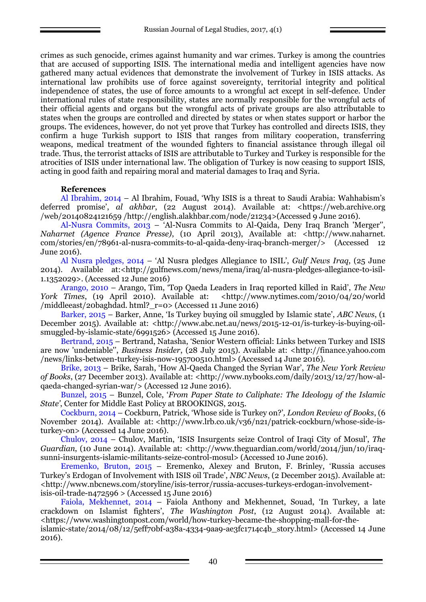crimes as such genocide, crimes against humanity and war crimes. Turkey is among the countries that are accused of supporting ISIS. The international media and intelligent agencies have now gathered many actual evidences that demonstrate the involvement of Turkey in ISIS attacks. As international law prohibits use of force against sovereignty, territorial integrity and political independence of states, the use of force amounts to a wrongful act except in self-defence. Under international rules of state responsibility, states are normally responsible for the wrongful acts of their official agents and organs but the wrongful acts of private groups are also attributable to states when the groups are controlled and directed by states or when states support or harbor the groups. The evidences, however, do not yet prove that Turkey has controlled and directs ISIS, they confirm a huge Turkish support to ISIS that ranges from military cooperation, transferring weapons, medical treatment of the wounded fighters to financial assistance through illegal oil trade. Thus, the terrorist attacks of ISIS are attributable to Turkey and Turkey is responsible for the atrocities of ISIS under international law. The obligation of Turkey is now ceasing to support ISIS, acting in good faith and repairing moral and material damages to Iraq and Syria.

### **References**

Al Ibrahim, 2014 – Al Ibrahim, [Fouad](https://web.archive.org/web/20140824121659/http:/english.al-akhbar.com/author/fouad-al-ibrahim), 'Why ISIS is a threat to Saudi Arabia: Wahhabism's deferred promise', *al akhbar*, (22 August 2014). Available at: <https://web.archive.org /web/20140824121659 /http://english.alakhbar.com/node/21234>(Accessed 9 June 2016).

Al-Nusra Commits, 2013 – 'Al-Nusra Commits to Al-Qaida, Deny Iraq Branch 'Merger'', *Naharnet (Agence France Presse)*, (10 April 2013), Available at: <http://www.naharnet. com/stories/en/78961-al-nusra-commits-to-al-qaida-deny-iraq-branch-merger/> (Accessed 12 June 2016).

Al Nusra pledges, 2014 – 'Al Nusra pledges Allegiance to ISIL', *Gulf News Iraq*, (25 June 2014). Available at:[<http://gulfnews.com/news/mena/iraq/al-nusra-pledges-allegiance-to-isil-](http://gulfnews.com/news/mena/iraq/al-nusra-pledges-allegiance-to-isil-1.1352029)[1.1352029>](http://gulfnews.com/news/mena/iraq/al-nusra-pledges-allegiance-to-isil-1.1352029). (Accessed 12 June 2016)

Arango, 2010 – Arango, Tim, 'Top Qaeda Leaders in Iraq reported killed in Raid', *The New York Times*, (19 April 2010). Available at: <http://www.nytimes.com/2010/04/20/world [/middleeast/20baghdad. html?\\_r=0>](http://www.nytimes.com/2010/04/20/world%20/middleeast/20baghdad.%20html?_r=0) (Accessed 11 June 2016)

Barker, 2015 – Barker, Anne, 'Is Turkey buying oil smuggled by Islamic state', *ABC News*, (1 December 2015). Available at: [<http://www.abc.net.au/news/2015-12-01/is-turkey-is-buying-oil](http://www.abc.net.au/news/2015-12-01/is-turkey-is-buying-oil-smuggled-by-islamic-state/6991526)[smuggled-by-islamic-state/6991526>](http://www.abc.net.au/news/2015-12-01/is-turkey-is-buying-oil-smuggled-by-islamic-state/6991526) (Accessed 15 June 2016).

Bertrand, 2015 – Bertrand, Natasha, ['Senior Western official: Links between Turkey and ISIS](http://finance.yahoo.com/news/links-between-turkey-isis-now-195700510.html)  [are now 'undeniable''](http://finance.yahoo.com/news/links-between-turkey-isis-now-195700510.html), *Business Insider*, (28 July 2015). Available at: <http://finance.yahoo.com /news/links-between-turkey-isis-now-195700510.html> (Accessed 14 June 2016).

Brike, 2013 – Brike, Sarah, 'How Al-Qaeda Changed the Syrian War', *The New York Review of Books*, (27 December 2013). Available at: <http://www.nybooks.com/daily/2013/12/27/how-alqaeda-changed-syrian-war/> (Accessed 12 June 2016).

Bunzel, 2015 – Bunzel, Cole, '*From Paper State to Caliphate: The Ideology of the Islamic State'*, Center for Middle East Policy at BROOKINGS, 2015.

Cockburn, 2014 – Cockburn, Patrick, ['Whose side is Turkey on?'](http://www.lrb.co.uk/v36/n21/patrick-cockburn/whose-side-is-turkey-on)*, London Review of Books*, (6 November 2014). Available at: [<http://www.lrb.co.uk/v36/n21/patrick-cockburn/whose-side-is](http://www.lrb.co.uk/v36/n21/patrick-cockburn/whose-side-is-turkey-on)[turkey-on>](http://www.lrb.co.uk/v36/n21/patrick-cockburn/whose-side-is-turkey-on) (Accessed 14 June 2016).

Chulov, 2014 – Chulov, Martin, 'ISIS Insurgents seize Control of Iraqi City of Mosul', *The Guardian*, (10 June 2014). Available at: <http://www.theguardian.com/world/2014/jun/10/iraqsunni-insurgents-islamic-militants-seize-control-mosul> (Accessed 10 June 2016).

Eremenko, Bruton, 2015 – Eremenko, Alexey and Bruton, F. Brinley, 'Russia accuses Turkey's Erdogan of Involvement with ISIS oil Trade', *NBC News*, (2 December 2015). Available at: [<http://www.nbcnews.com/storyline/isis-terror/russia-accuses-turkeys-erdogan-involvement](http://www.nbcnews.com/storyline/isis-terror/russia-accuses-turkeys-erdogan-involvement-isis-oil-trade-n472596)[isis-oil-trade-n472596](http://www.nbcnews.com/storyline/isis-terror/russia-accuses-turkeys-erdogan-involvement-isis-oil-trade-n472596) > (Accessed 15 June 2016)

Faiola, Mekhennet, 2014 – Faiola [Anthony a](http://www.washingtonpost.com/people/anthony-faiola)nd Mekhennet, [Souad](http://www.washingtonpost.com/people/souad-mekhennet), 'In Turkey, a late crackdown on Islamist fighters', *The Washington Post*, (12 August 2014). Available at: [<https://www.washingtonpost.com/world/how-turkey-became-the-shopping-mall-for-the](https://www.washingtonpost.com/world/how-turkey-became-the-shopping-mall-for-the-islamic-state/2014/08/12/5eff70bf-a38a-4334-9aa9-ae3fc1714c4b_story.html)[islamic-state/2014/08/12/5eff70bf-a38a-4334-9aa9-ae3fc1714c4b\\_story.html>](https://www.washingtonpost.com/world/how-turkey-became-the-shopping-mall-for-the-islamic-state/2014/08/12/5eff70bf-a38a-4334-9aa9-ae3fc1714c4b_story.html) (Accessed 14 June 2016).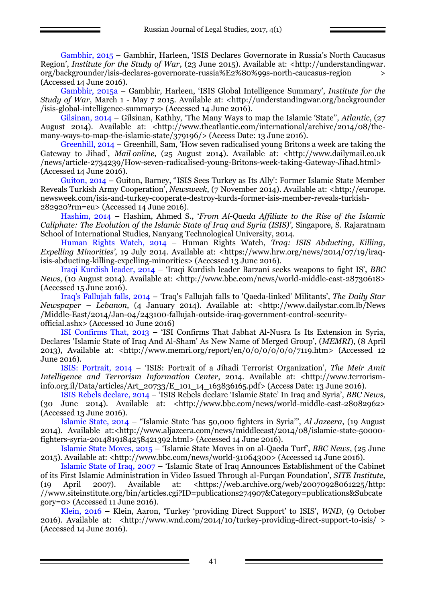Gambhir, 2015 – Gambhir, Harleen, ['ISIS Declares Governorate in Russia's North Caucasus](http://understandingwar.org/backgrounder/isis-declares-governorate-russia%E2%80%99s-north-caucasus-region)  [Region'](http://understandingwar.org/backgrounder/isis-declares-governorate-russia%E2%80%99s-north-caucasus-region), *Institute for the Study of War*, (23 June 2015). Available at: <http://understandingwar. org/backgrounder/isis-declares-governorate-russia%E2%80%99s-north-caucasus-region > (Accessed 14 June 2016).

Gambhir, 2015а – Gambhir, Harleen, ['ISIS Global Intelligence Summary',](http://www.understandingwar.org/sites/default/files/ISIS%20INTSUM_Final.pdf) *Institute for the Study of War*, March 1 - May 7 2015. Available at: [<http://understandingwar.org/backgrounder](http://understandingwar.org/backgrounder%20/isis-global-intelligence-summary) [/isis-global-intelligence-summary>](http://understandingwar.org/backgrounder%20/isis-global-intelligence-summary) (Accessed 14 June 2016).

Gilsinan, 2014 – Gilsinan, Kathhy, 'The Many Ways to map the Islamic 'State'', *Atlantic*, (27 August 2014). Available at: [<http://www.theatlantic.com/international/archive/2014/08/the](http://www.theatlantic.com/international/archive/2014/08/the-many-ways-to-map-the-islamic-state/379196/)[many-ways-to-map-the-islamic-state/379196/>](http://www.theatlantic.com/international/archive/2014/08/the-many-ways-to-map-the-islamic-state/379196/) (Access Date: 13 June 2016).

Greenhill, 2014 – Greenhill, Sam, '[How seven radicalised young Britons a week are taking the](http://www.dailymail.co.uk/news/article-2734239/How-seven-radicalised-young-Britons-week-taking-Gateway-Jihad.html)  [Gateway to Jihad'](http://www.dailymail.co.uk/news/article-2734239/How-seven-radicalised-young-Britons-week-taking-Gateway-Jihad.html), *Mail online*, (25 August 2014). Available at: <http://www.dailymail.co.uk /news/article-2734239/How-seven-radicalised-young-Britons-week-taking-Gateway-Jihad.html> (Accessed 14 June 2016).

Guiton, 2014 – Guiton, Barney, ''I[SIS Sees Turkey as Its Ally': Former Islamic State Member](http://www.newsweek.com/isis-and-turkey-cooperate-destroy-kurds-former-isis-member-reveals-turkish-282920)  [Reveals Turkish Army Cooperation'](http://www.newsweek.com/isis-and-turkey-cooperate-destroy-kurds-former-isis-member-reveals-turkish-282920), *Newsweek*, (7 November 2014). Available at: <http://europe. newsweek.com/isis-and-turkey-cooperate-destroy-kurds-former-isis-member-reveals-turkish-282920?rm=eu> (Accessed 14 June 2016).

Hashim, 2014 – Hashim, Ahmed S., '*From Al-Qaeda Affiliate to the Rise of the Islamic Caliphate: The Evolution of the Islamic State of Iraq and Syria (ISIS)'*, Singapore, S. Rajaratnam School of International Studies, Nanyang Technological University, 2014.

Human Rights Watch, 2014 – Human Rights Watch, *'Iraq: ISIS Abducting, Killing, Expelling Minorities'*, 19 July 2014. Available at: <https://www.hrw.org/news/2014/07/19/iraqisis-abducting-killing-expelling-minorities> (Accessed 13 June 2016).

Iraqi Kurdish leader, 2014 – 'Iraqi Kurdish leader Barzani seeks weapons to fight IS', *BBC News*, (10 August 2014). Available at: [<http://www.bbc.com/news/world-middle-east-28730618>](http://www.bbc.com/news/world-middle-east-28730618) (Accessed 15 June 2016).

Iraq's Fallujah falls, 2014 – 'Iraq's Fallujah falls to 'Qaeda-linked' Militants', *The Daily Star Newspaper – Lebanon*, (4 January 2014). Available at: <http://www.dailystar.com.lb/News /Middle-East/2014/Jan-04/243100-fallujah-outside-iraq-government-control-securityofficial.ashx> (Accessed 10 June 2016)

ISI Confirms That, 2013 – 'ISI Confirms That Jabhat Al-Nusra Is Its Extension in Syria, Declares 'Islamic State of Iraq And Al-Sham' As New Name of Merged Group', (*MEMRI*), (8 April 2013), Available at: <http://www.memri.org/report/en/0/0/0/0/0/0/7119.htm> (Accessed 12 June 2016).

ISIS: Portrait, 2014 – 'ISIS: Portrait of a Jihadi Terrorist Organization', *The Meir Amit Intelligence and Terrorism Information Center*, 2014. Available at: <http://www.terrorisminfo.org.il/Data/articles/Art\_20733/E\_101\_14\_163836165.pdf> (Access Date: 13 June 2016).

ISIS Rebels declare, 2014 – 'ISIS Rebels declare 'Islamic State' In Iraq and Syria', *BBC News*, (30 June 2014). Available at: [<http://www.bbc.com/news/world-middle-east-28082962>](http://www.bbc.com/news/world-middle-east-28082962) (Accessed 13 June 2016).

Islamic State, 2014 – "Islamic State 'has 50,000 fighters in Syria'", *Al Jazeera*, (19 August 2014). Available at:<http://www.aljazeera.com/news/middleeast/2014/08/islamic-state-50000 fighters-syria-2014819184258421392.html> (Accessed 14 June 2016).

Islamic State Moves, 2015 – 'Islamic State Moves in on al-Qaeda Turf', *BBC News*, (25 June 2015). Available at: [<http://www.bbc.com/news/world-31064300>](http://www.bbc.com/news/world-31064300) (Accessed 14 June 2016).

Islamic State of Iraq, 2007 – 'Islamic State of Iraq Announces Establishment of the Cabinet of its First Islamic Administration in Video Issued Through al-Furqan Foundation', *SITE Institute*, (19 April 2007). Available at: <https://web.archive.org/web/20070928061225/http: //www.siteinstitute.org/bin/articles.cgi?ID=publications274907&Category=publications&Subcate gory=0> (Accessed 11 June 2016).

Klein, 2016 – Klein, Aaron, 'Turkey 'providing Direct Support' to ISIS', *WND*, (9 October 2016). Available at: [<http://www.wnd.com/2014/10/turkey-providing-direct-support-to-isis/](http://www.wnd.com/2014/10/turkey-providing-direct-support-to-isis/) > (Accessed 14 June 2016).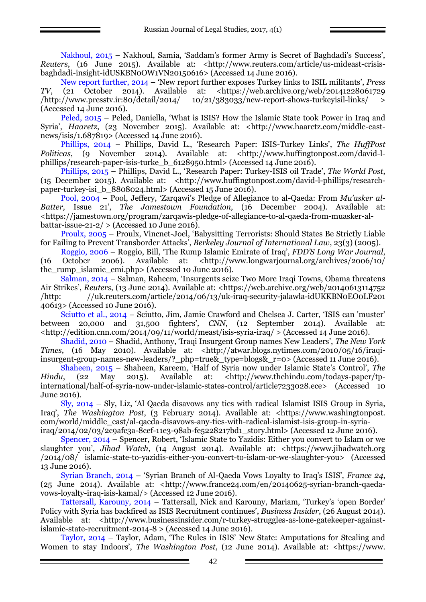Nakhoul, 2015 – Nakhoul, Samia, 'Saddam's former Army is Secret of Baghdadi's Success', *Reuters*, (16 June 2015). Available at: <http://www.reuters.com/article/us-mideast-crisisbaghdadi-insight-idUSKBN0OW1VN20150616> (Accessed 14 June 2016).

New report further, 2014 – ['New report further exposes Turkey links to ISIL militants'](https://web.archive.org/20141228061729/http:/www.presstv.ir:80/detail/2014/10/21/383033/new-report-shows-turkeyisil-links/), *Press TV*, (21 October 2014). Available at: [<https://web.archive.org/web/20141228061729](https://web.archive.org/web/20141228061729%20/http:/www.presstv.ir:80/detail/2014/%2010/21/383033/new-report-shows-turkeyisil-links/)  $\mu$ ttp://www.presstv.ir:80/detail/2014/ 10/21/383033/new-report-shows-turkeyisil-links/ > (Accessed 14 June 2016).

Peled, 2015 – Peled, Daniella, 'What is ISIS? How the Islamic State took Power in Iraq and Syria', *Haaretz*, (23 November 2015). Available at: [<http://www.haaretz.com/middle-east](http://www.haaretz.com/middle-east-news/isis/1.687819)[news/isis/1.687819>](http://www.haaretz.com/middle-east-news/isis/1.687819) (Accessed 14 June 2016).

Phillips, 2014 – Phillips, David L., ['Research Paper: ISIS](http://www.huffingtonpost.com/david-l-phillips/research-paper-isis-turke_b_6128950.html)-Turkey Links', *The HuffPost Politicas*, (9 November 2014). Available at: [<http://www.huffingtonpost.com/david-l](http://www.huffingtonpost.com/david-l-phillips/research-paper-isis-turke_b_6128950.html)[phillips/research-paper-isis-turke\\_b\\_6128950.html>](http://www.huffingtonpost.com/david-l-phillips/research-paper-isis-turke_b_6128950.html) (Accessed 14 June 2016).

Phillips, 2015 – Phillips, David L., ['Research Paper: Turkey](http://www.huffingtonpost.com/david-l-phillips/research-paper-isis-turke_b_6128950.html)-ISIS oil Trade', *The World Post*, (15 December 2015). Available at: [<http://www.huffingtonpost.com/david-l-phillips/research](http://www.huffingtonpost.com/david-l-phillips/research-paper-turkey-isi_b_8808024.html)[paper-turkey-isi\\_b\\_8808024.html>](http://www.huffingtonpost.com/david-l-phillips/research-paper-turkey-isi_b_8808024.html) (Accessed 15 June 2016).

Pool, 2004 – Pool, Jeffery, 'Zarqawi's Pledge of Allegiance to al-Qaeda: From *Mu'asker al-Batter,* Issue 21', *The Jamestown Foundation*, (16 December 2004). Available at: [<https://jamestown.org/program/zarqawis-pledge-of-allegiance-to-al-qaeda-from-muasker-al](https://jamestown.org/program/zarqawis-pledge-of-allegiance-to-al-qaeda-from-muasker-al-battar-issue-21-2/)[battar-issue-21-2/](https://jamestown.org/program/zarqawis-pledge-of-allegiance-to-al-qaeda-from-muasker-al-battar-issue-21-2/) $>$  (Accessed 10 June 2016).

Proulx, 2005 – Proulx, Vincnet-Joel, 'Babysitting Terrorists: Should States Be Strictly Liable for Failing to Prevent Transborder Attacks', *Berkeley Journal of International Law*, 23(3) (2005).

Roggio, 2006 – Roggio, Bill, 'The Rump Islamic Emirate of Iraq', *FDD'S Long War Journal*, (16 October 2006). Available at: [<http://www.longwarjournal.org/archives/2006/10/](http://www.longwarjournal.org/archives/2006/10/%20the_rump_islamic_emi.php) the rump islamic emi.php> (Accessed 10 June 2016).

Salman, 2014 – Salman, Raheem, 'Insurgents seize Two More Iraqi Towns, Obama threatens Air Strikes', *Reuters*, (13 June 2014). Available at: <https://web.archive.org/web/20140613114752 /http: //uk.reuters.com/article/2014/06/13/uk-iraq-security-jalawla-idUKKBN0EO0LF201 40613> (Accessed 10 June 2016).

Sciutto et al., 2014 – Sciutto, Jim, Jamie Crawford and Chelsea J. Carter, 'ISIS can 'muster' between 20,000 and 31,500 fighters'*, CNN*, (12 September 2014). Available at: <http://edition.cnn.com/2014/09/11/world/meast/isis-syria-iraq/ > (Accessed 14 June 2016).

Shadid, 2010 – Shadid, Anthony, 'Iraqi Insurgent Group names New Leaders', *The New York Times*, (16 May 2010). Available at: [<http://atwar.blogs.nytimes.com/2010/05/16/iraqi](http://atwar.blogs.nytimes.com/2010/05/16/iraqi-insurgent-group-names-new-leaders/?_php=true&_type=blogs&_r=0)[insurgent-group-names-new-leaders/?\\_php=true&\\_type=blogs&\\_r=0>](http://atwar.blogs.nytimes.com/2010/05/16/iraqi-insurgent-group-names-new-leaders/?_php=true&_type=blogs&_r=0) (Accessed 11 June 2016).

Shaheen, 2015 – Shaheen, Kareem, 'Half of Syria now under Islamic State's Control', *The Hindu*, (22 May 2015). Available at: <http://www.thehindu.com/todays-paper/tpinternational/half-of-syria-now-under-islamic-states-control/article7233028.ece> (Accessed 10 June 2016).

Sly, 2014 – Sly, Liz, 'Al Qaeda disavows any ties with radical Islamist ISIS Group in Syria, Iraq', *The Washington Post*, (3 February 2014). Available at: <https://www.washingtonpost. com/world/middle\_east/al-qaeda-disavows-any-ties-with-radical-islamist-isis-group-in-syriairaq/2014/02/03/2c9afc3a-8cef-11e3-98ab-fe5228217bd1\_story.html> (Accessed 12 June 2016).

Spencer, 2014 – Spencer, Robert, 'Islamic State to Yazidis: Either you convert to Islam or we slaughter you', *Jihad Watch*, (14 August 2014). Available at: <https://www.jihadwatch.org /2014/08/ islamic-state-to-yazidis-either-you-convert-to-islam-or-we-slaughter-you> (Accessed 13 June 2016).

Syrian Branch, 2014 – 'Syrian Branch of Al-Qaeda Vows Loyalty to Iraq's ISIS', *France 24*, (25 June 2014). Available at: <http://www.france24.com/en/20140625-syrian-branch-qaedavows-loyalty-iraq-isis-kamal/> (Accessed 12 June 2016).

Tattersall, Karouny, 2014 – Tattersall, Nick and Karouny, Mariam, 'Turkey's 'open Border' Policy with Syria has backfired as ISIS Recruitment continues', *Business Insider*, (26 August 2014). Available at: [<http://www.businessinsider.com/r-turkey-struggles-as-lone-gatekeeper-against](http://www.businessinsider.com/r-turkey-struggles-as-lone-gatekeeper-against-islamic-state-recruitment-2014-8)[islamic-state-recruitment-2014-8](http://www.businessinsider.com/r-turkey-struggles-as-lone-gatekeeper-against-islamic-state-recruitment-2014-8) > (Accessed 14 June 2016).

Taylor, 2014 – Taylor, Adam, 'The Rules in ISIS' New State: Amputations for Stealing and Women to stay Indoors', *The Washington Post*, (12 June 2014). Available at: <https://www.